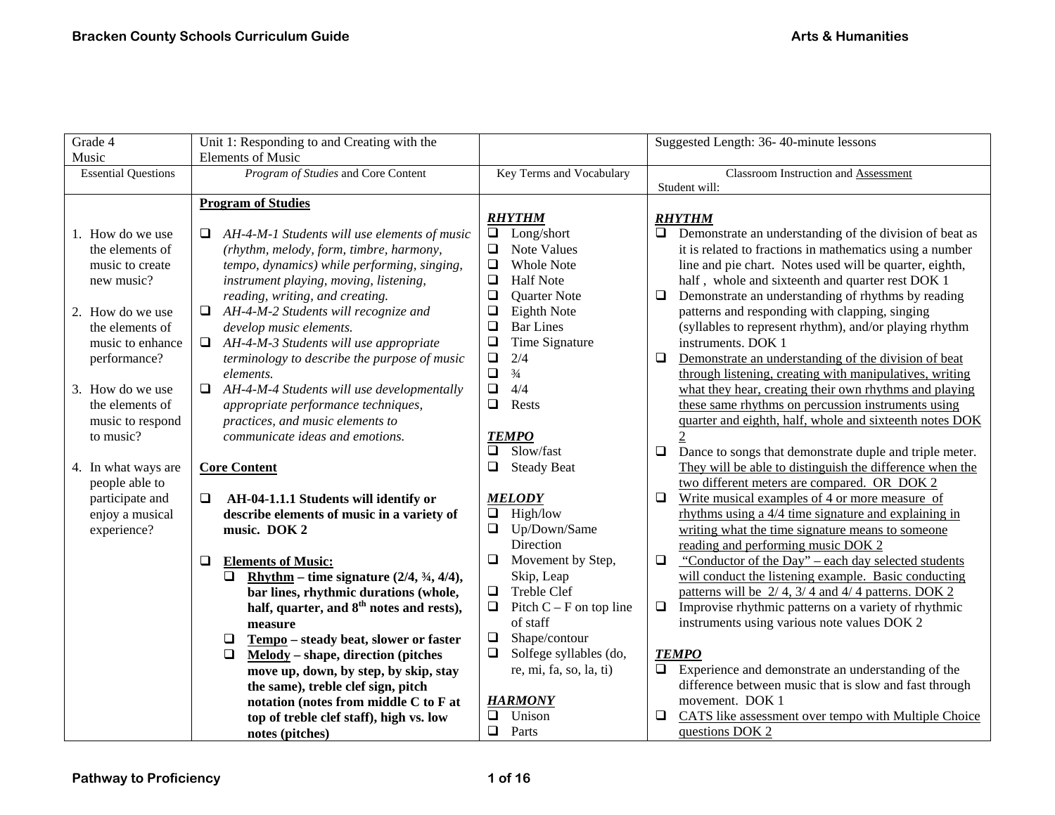| Grade 4                    | Unit 1: Responding to and Creating with the                      |                                     | Suggested Length: 36-40-minute lessons                            |
|----------------------------|------------------------------------------------------------------|-------------------------------------|-------------------------------------------------------------------|
| Music                      | <b>Elements of Music</b>                                         |                                     |                                                                   |
| <b>Essential Questions</b> | Program of Studies and Core Content                              | Key Terms and Vocabulary            | <b>Classroom Instruction and Assessment</b>                       |
|                            |                                                                  |                                     | Student will:                                                     |
|                            | <b>Program of Studies</b>                                        |                                     |                                                                   |
|                            |                                                                  | <b>RHYTHM</b>                       | <b>RHYTHM</b>                                                     |
| 1. How do we use           | AH-4-M-1 Students will use elements of music<br>Q.               | Long/short<br>$\Box$                | Demonstrate an understanding of the division of beat as<br>$\Box$ |
| the elements of            | (rhythm, melody, form, timbre, harmony,                          | $\Box$<br>Note Values               | it is related to fractions in mathematics using a number          |
| music to create            | tempo, dynamics) while performing, singing,                      | $\Box$<br><b>Whole Note</b>         | line and pie chart. Notes used will be quarter, eighth,           |
| new music?                 | instrument playing, moving, listening,                           | $\Box$<br><b>Half Note</b>          | half, whole and sixteenth and quarter rest DOK 1                  |
|                            | reading, writing, and creating.                                  | $\Box$<br>Quarter Note              | Demonstrate an understanding of rhythms by reading<br>$\Box$      |
| 2. How do we use           | $\Box$<br>AH-4-M-2 Students will recognize and                   | $\Box$<br>Eighth Note               | patterns and responding with clapping, singing                    |
| the elements of            | develop music elements.                                          | $\Box$<br><b>Bar Lines</b>          | (syllables to represent rhythm), and/or playing rhythm            |
| music to enhance           | $\Box$<br>AH-4-M-3 Students will use appropriate                 | $\Box$<br>Time Signature            | instruments. DOK 1                                                |
| performance?               | terminology to describe the purpose of music                     | $\Box$<br>2/4                       | $\Box$<br>Demonstrate an understanding of the division of beat    |
|                            | elements.                                                        | $\Box$<br>$\frac{3}{4}$             | through listening, creating with manipulatives, writing           |
| 3. How do we use           | $\Box$<br>AH-4-M-4 Students will use developmentally             | $\Box$<br>4/4                       | what they hear, creating their own rhythms and playing            |
| the elements of            | appropriate performance techniques,                              | $\Box$<br>Rests                     | these same rhythms on percussion instruments using                |
| music to respond           | practices, and music elements to                                 |                                     | quarter and eighth, half, whole and sixteenth notes DOK           |
| to music?                  | communicate ideas and emotions.                                  | <b>TEMPO</b>                        |                                                                   |
|                            |                                                                  | Slow/fast<br>$\Box$                 | $\Box$<br>Dance to songs that demonstrate duple and triple meter. |
| 4. In what ways are        | <b>Core Content</b>                                              | $\Box$<br><b>Steady Beat</b>        | They will be able to distinguish the difference when the          |
| people able to             |                                                                  |                                     | two different meters are compared. OR DOK 2                       |
| participate and            | AH-04-1.1.1 Students will identify or                            | <b>MELODY</b>                       | $\Box$<br>Write musical examples of 4 or more measure of          |
| enjoy a musical            | describe elements of music in a variety of                       | High/low<br>$\Box$                  | rhythms using a $4/4$ time signature and explaining in            |
| experience?                | music. DOK 2                                                     | Up/Down/Same<br>$\Box$              | writing what the time signature means to someone                  |
|                            |                                                                  | Direction                           | reading and performing music DOK 2                                |
|                            | <b>Elements of Music:</b><br>$\Box$                              | Movement by Step,<br>$\Box$         | $\Box$<br>"Conductor of the Day" – each day selected students     |
|                            | Rhythm – time signature $(2/4, \frac{3}{4}, \frac{4}{4})$ ,<br>❏ | Skip, Leap                          | will conduct the listening example. Basic conducting              |
|                            | bar lines, rhythmic durations (whole,                            | $\Box$<br>Treble Clef               | patterns will be $2/4$ , $3/4$ and $4/4$ patterns. DOK 2          |
|                            | half, quarter, and 8 <sup>th</sup> notes and rests),             | $\Box$<br>Pitch $C - F$ on top line | $\Box$<br>Improvise rhythmic patterns on a variety of rhythmic    |
|                            | measure                                                          | of staff                            | instruments using various note values DOK 2                       |
|                            | Tempo - steady beat, slower or faster<br>$\Box$                  | $\Box$<br>Shape/contour             |                                                                   |
|                            | $Melody – shape, direction (pitches)$<br>$\Box$                  | $\Box$<br>Solfege syllables (do,    | <b>TEMPO</b>                                                      |
|                            | move up, down, by step, by skip, stay                            | re, mi, fa, so, la, ti)             | $\Box$<br>Experience and demonstrate an understanding of the      |
|                            | the same), treble clef sign, pitch                               |                                     | difference between music that is slow and fast through            |
|                            | notation (notes from middle C to F at                            | <b>HARMONY</b>                      | movement. DOK 1                                                   |
|                            | top of treble clef staff), high vs. low                          | Unison<br>❏                         | CATS like assessment over tempo with Multiple Choice<br>□         |
|                            | notes (pitches)                                                  | Parts<br>$\Box$                     | questions DOK 2                                                   |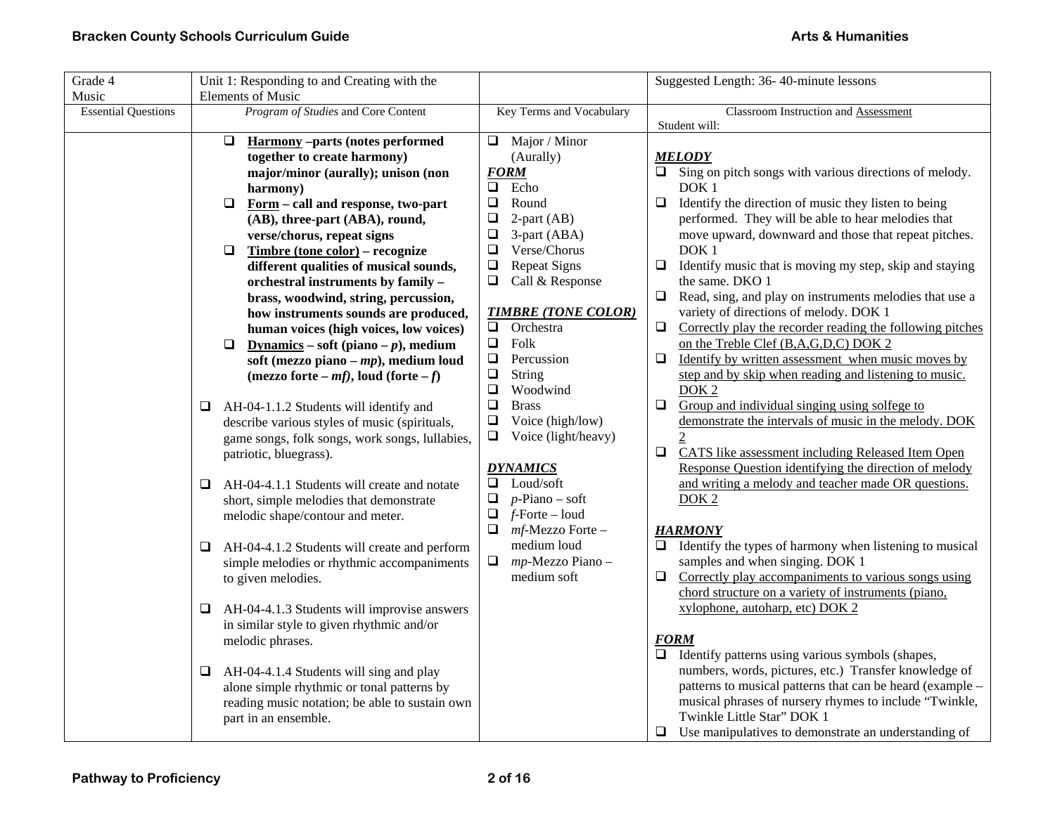| Grade 4                    | Unit 1: Responding to and Creating with the                                                |                                        | Suggested Length: 36-40-minute lessons                                               |
|----------------------------|--------------------------------------------------------------------------------------------|----------------------------------------|--------------------------------------------------------------------------------------|
| Music                      | <b>Elements of Music</b>                                                                   |                                        |                                                                                      |
| <b>Essential Questions</b> | Program of Studies and Core Content                                                        | Key Terms and Vocabulary               | Classroom Instruction and Assessment                                                 |
|                            |                                                                                            |                                        | Student will:                                                                        |
|                            | <b>Harmony-parts (notes performed)</b><br>$\Box$                                           | $\Box$ Major / Minor                   |                                                                                      |
|                            | together to create harmony)                                                                | (Aurally)                              | <b>MELODY</b>                                                                        |
|                            | major/minor (aurally); unison (non                                                         | <b>FORM</b>                            | Sing on pitch songs with various directions of melody.<br>$\Box$                     |
|                            | harmony)                                                                                   | $\Box$<br>Echo                         | DOK <sub>1</sub>                                                                     |
|                            | Form - call and response, two-part<br>$\Box$                                               | $\Box$<br>Round                        | Identify the direction of music they listen to being<br>□                            |
|                            | (AB), three-part (ABA), round,                                                             | $\Box$<br>$2$ -part (AB)               | performed. They will be able to hear melodies that                                   |
|                            | verse/chorus, repeat signs                                                                 | 3-part (ABA)<br>$\Box$<br>Verse/Chorus | move upward, downward and those that repeat pitches.                                 |
|                            | Timbre (tone color) – recognize<br>$\Box$                                                  | $\Box$                                 | DOK <sub>1</sub>                                                                     |
|                            | different qualities of musical sounds,                                                     | $\Box$<br><b>Repeat Signs</b>          | Identify music that is moving my step, skip and staying<br>❏<br>the same. DKO 1      |
|                            | orchestral instruments by family -                                                         | Call & Response<br>❏                   | Read, sing, and play on instruments melodies that use a<br>$\Box$                    |
|                            | brass, woodwind, string, percussion,                                                       | <b>TIMBRE (TONE COLOR)</b>             | variety of directions of melody. DOK 1                                               |
|                            | how instruments sounds are produced,                                                       | $\Box$<br>Orchestra                    | Correctly play the recorder reading the following pitches<br>$\Box$                  |
|                            | human voices (high voices, low voices)<br>$\Box$<br>Dynamics – soft (piano – $p$ ), medium | $\Box$<br>Folk                         | on the Treble Clef (B,A,G,D,C) DOK 2                                                 |
|                            | soft (mezzo piano – $mp$ ), medium loud                                                    | $\Box$<br>Percussion                   | Identify by written assessment when music moves by<br>0                              |
|                            | (mezzo forte – mf), loud (forte – f)                                                       | $\Box$<br><b>String</b>                | step and by skip when reading and listening to music.                                |
|                            |                                                                                            | $\Box$<br>Woodwind                     | DOK <sub>2</sub>                                                                     |
|                            | AH-04-1.1.2 Students will identify and<br>⊔                                                | $\Box$<br><b>Brass</b>                 | Group and individual singing using solfege to<br>$\Box$                              |
|                            | describe various styles of music (spirituals,                                              | Voice (high/low)<br>$\Box$             | demonstrate the intervals of music in the melody. DOK                                |
|                            | game songs, folk songs, work songs, lullabies,                                             | $\Box$<br>Voice (light/heavy)          | $\mathcal{D}$                                                                        |
|                            | patriotic, bluegrass).                                                                     |                                        | CATS like assessment including Released Item Open<br>$\Box$                          |
|                            |                                                                                            | <b>DYNAMICS</b>                        | Response Question identifying the direction of melody                                |
|                            | AH-04-4.1.1 Students will create and notate<br>❏                                           | Loud/soft<br>□                         | and writing a melody and teacher made OR questions.                                  |
|                            | short, simple melodies that demonstrate                                                    | $\Box$<br>$p$ -Piano – soft            | DOK <sub>2</sub>                                                                     |
|                            | melodic shape/contour and meter.                                                           | $\Box$<br>$f$ -Forte – loud            |                                                                                      |
|                            |                                                                                            | $mf$ -Mezzo Forte –<br>❏               | <b>HARMONY</b>                                                                       |
|                            | AH-04-4.1.2 Students will create and perform<br>⊔                                          | medium loud                            | $\Box$ Identify the types of harmony when listening to musical                       |
|                            | simple melodies or rhythmic accompaniments                                                 | $\Box$ mp-Mezzo Piano –                | samples and when singing. DOK 1                                                      |
|                            | to given melodies.                                                                         | medium soft                            | Correctly play accompaniments to various songs using<br>□                            |
|                            |                                                                                            |                                        | chord structure on a variety of instruments (piano,                                  |
|                            | AH-04-4.1.3 Students will improvise answers<br>Q                                           |                                        | xylophone, autoharp, etc) DOK 2                                                      |
|                            | in similar style to given rhythmic and/or                                                  |                                        |                                                                                      |
|                            | melodic phrases.                                                                           |                                        | <b>FORM</b>                                                                          |
|                            |                                                                                            |                                        | Identify patterns using various symbols (shapes,<br>$\Box$                           |
|                            | AH-04-4.1.4 Students will sing and play<br>⊔                                               |                                        | numbers, words, pictures, etc.) Transfer knowledge of                                |
|                            | alone simple rhythmic or tonal patterns by                                                 |                                        | patterns to musical patterns that can be heard (example –                            |
|                            | reading music notation; be able to sustain own                                             |                                        | musical phrases of nursery rhymes to include "Twinkle,<br>Twinkle Little Star" DOK 1 |
|                            | part in an ensemble.                                                                       |                                        |                                                                                      |
|                            |                                                                                            |                                        | Use manipulatives to demonstrate an understanding of<br>$\Box$                       |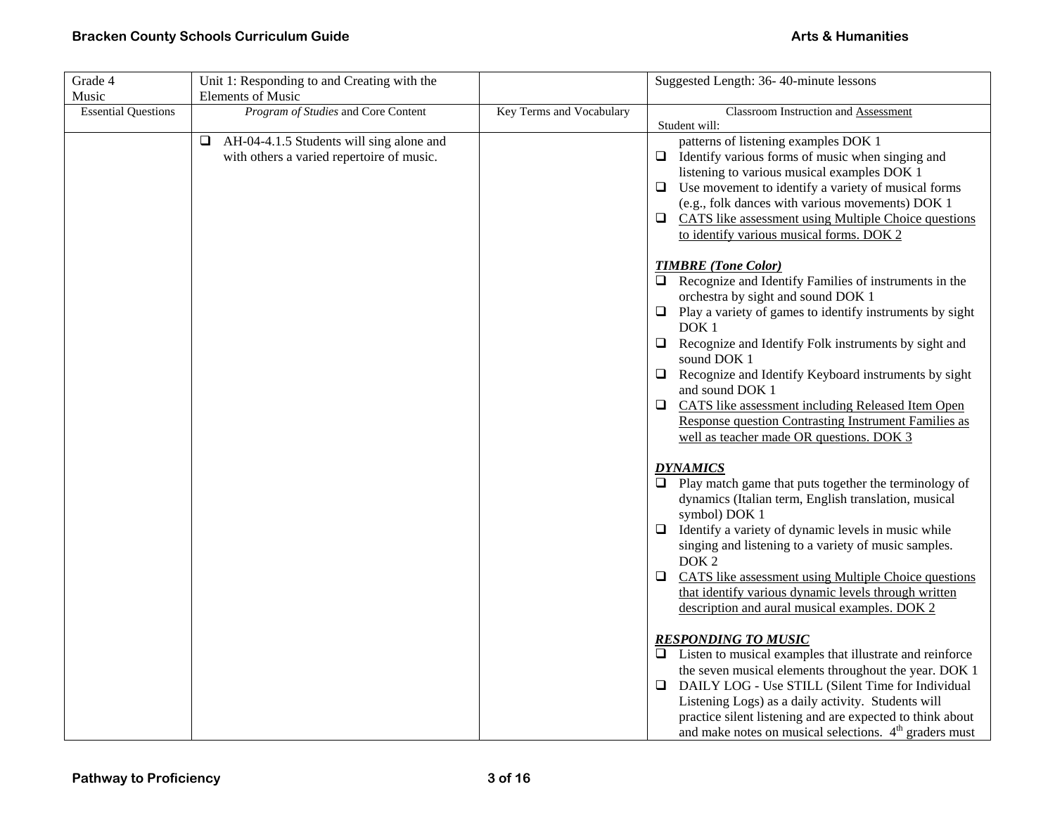| Grade 4                    | Unit 1: Responding to and Creating with the                                                |                          | Suggested Length: 36-40-minute lessons                                                                                                                                                                                                                                                                                                                                                                                                                                                                                                                    |
|----------------------------|--------------------------------------------------------------------------------------------|--------------------------|-----------------------------------------------------------------------------------------------------------------------------------------------------------------------------------------------------------------------------------------------------------------------------------------------------------------------------------------------------------------------------------------------------------------------------------------------------------------------------------------------------------------------------------------------------------|
| Music                      | <b>Elements of Music</b>                                                                   |                          |                                                                                                                                                                                                                                                                                                                                                                                                                                                                                                                                                           |
| <b>Essential Questions</b> | Program of Studies and Core Content                                                        | Key Terms and Vocabulary | Classroom Instruction and Assessment<br>Student will:                                                                                                                                                                                                                                                                                                                                                                                                                                                                                                     |
|                            | AH-04-4.1.5 Students will sing alone and<br>⊔<br>with others a varied repertoire of music. |                          | patterns of listening examples DOK 1<br>Identify various forms of music when singing and<br>$\Box$<br>listening to various musical examples DOK 1<br>Use movement to identify a variety of musical forms<br>⊔<br>(e.g., folk dances with various movements) DOK 1<br>CATS like assessment using Multiple Choice questions<br>$\Box$<br>to identify various musical forms. DOK 2                                                                                                                                                                           |
|                            |                                                                                            |                          | <b>TIMBRE</b> (Tone Color)<br>Recognize and Identify Families of instruments in the<br>$\Box$<br>orchestra by sight and sound DOK 1<br>$\Box$ Play a variety of games to identify instruments by sight<br>DOK <sub>1</sub><br>Recognize and Identify Folk instruments by sight and<br>⊔<br>sound DOK 1<br>Recognize and Identify Keyboard instruments by sight<br>$\Box$<br>and sound DOK 1<br>CATS like assessment including Released Item Open<br>□<br>Response question Contrasting Instrument Families as<br>well as teacher made OR questions. DOK 3 |
|                            |                                                                                            |                          | <b>DYNAMICS</b><br>Play match game that puts together the terminology of<br>dynamics (Italian term, English translation, musical<br>symbol) DOK 1<br>Identify a variety of dynamic levels in music while<br>$\Box$<br>singing and listening to a variety of music samples.<br>DOK <sub>2</sub><br><b>CATS</b> like assessment using Multiple Choice questions<br>❏<br>that identify various dynamic levels through written<br>description and aural musical examples. DOK 2                                                                               |
|                            |                                                                                            |                          | <b>RESPONDING TO MUSIC</b><br>$\Box$ Listen to musical examples that illustrate and reinforce<br>the seven musical elements throughout the year. DOK 1<br>DAILY LOG - Use STILL (Silent Time for Individual<br>❏<br>Listening Logs) as a daily activity. Students will<br>practice silent listening and are expected to think about<br>and make notes on musical selections. $4th$ graders must                                                                                                                                                           |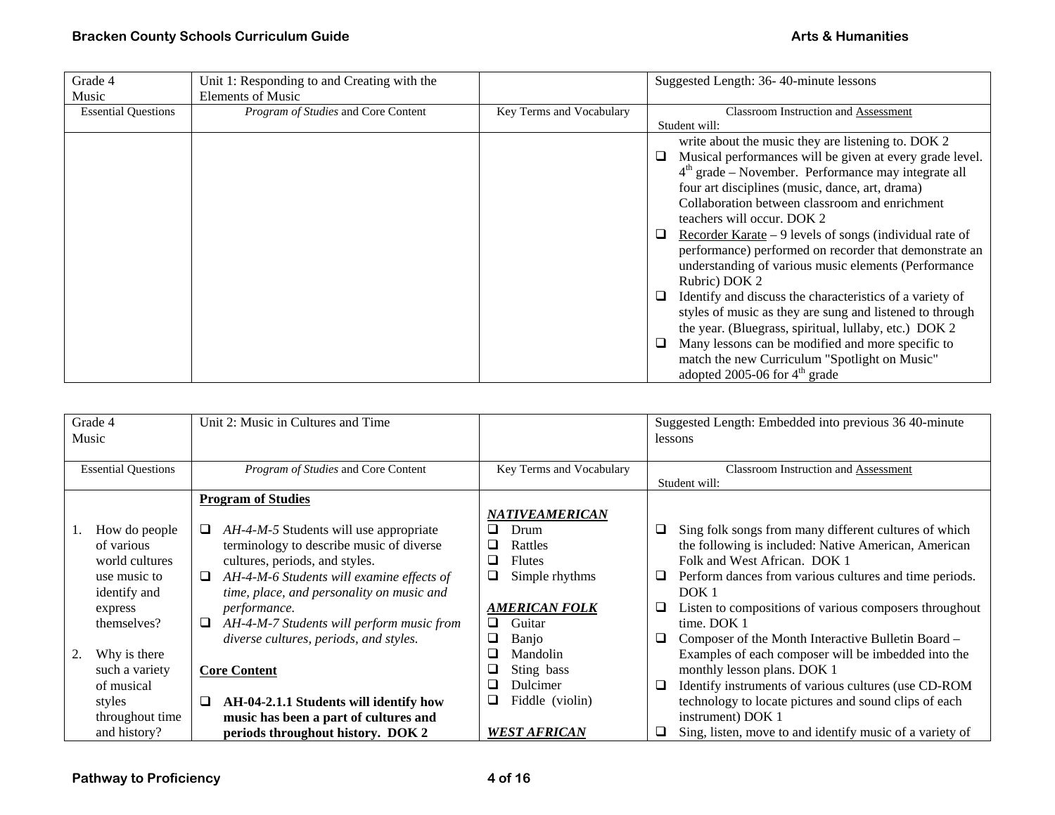| Grade 4                    | Unit 1: Responding to and Creating with the |                          | Suggested Length: 36-40-minute lessons                        |
|----------------------------|---------------------------------------------|--------------------------|---------------------------------------------------------------|
| Music                      | <b>Elements of Music</b>                    |                          |                                                               |
| <b>Essential Questions</b> | Program of Studies and Core Content         | Key Terms and Vocabulary | Classroom Instruction and Assessment                          |
|                            |                                             |                          | Student will:                                                 |
|                            |                                             |                          | write about the music they are listening to. DOK 2            |
|                            |                                             |                          | Musical performances will be given at every grade level.<br>⊔ |
|                            |                                             |                          | $4th$ grade – November. Performance may integrate all         |
|                            |                                             |                          | four art disciplines (music, dance, art, drama)               |
|                            |                                             |                          | Collaboration between classroom and enrichment                |
|                            |                                             |                          | teachers will occur. DOK 2                                    |
|                            |                                             |                          | Recorder Karate $-9$ levels of songs (individual rate of<br>⊔ |
|                            |                                             |                          | performance) performed on recorder that demonstrate an        |
|                            |                                             |                          | understanding of various music elements (Performance          |
|                            |                                             |                          | Rubric) DOK 2                                                 |
|                            |                                             |                          | Identify and discuss the characteristics of a variety of<br>⊔ |
|                            |                                             |                          | styles of music as they are sung and listened to through      |
|                            |                                             |                          | the year. (Bluegrass, spiritual, lullaby, etc.) DOK 2         |
|                            |                                             |                          | Many lessons can be modified and more specific to<br>⊔        |
|                            |                                             |                          | match the new Curriculum "Spotlight on Music"                 |
|                            |                                             |                          | adopted 2005-06 for $4th$ grade                               |

|    | Grade 4<br>Music           | Unit 2: Music in Cultures and Time             |                          | Suggested Length: Embedded into previous 36 40-minute<br>lessons |
|----|----------------------------|------------------------------------------------|--------------------------|------------------------------------------------------------------|
|    |                            |                                                |                          |                                                                  |
|    | <b>Essential Questions</b> | <i>Program of Studies</i> and Core Content     | Key Terms and Vocabulary | <b>Classroom Instruction and Assessment</b><br>Student will:     |
|    |                            | <b>Program of Studies</b>                      |                          |                                                                  |
|    |                            |                                                | <b>NATIVEAMERICAN</b>    |                                                                  |
|    | How do people              | $AH-4-M-5$ Students will use appropriate       | Drum<br>ப                | Sing folk songs from many different cultures of which<br>⊔       |
|    | of various                 | terminology to describe music of diverse       | Rattles<br>ப             | the following is included: Native American, American             |
|    | world cultures             | cultures, periods, and styles.                 | <b>Flutes</b><br>⊔       | Folk and West African. DOK 1                                     |
|    | use music to               | AH-4-M-6 Students will examine effects of<br>⊔ | Simple rhythms<br>⊔      | Perform dances from various cultures and time periods.<br>⊔      |
|    | identify and               | time, place, and personality on music and      |                          | DOK <sub>1</sub>                                                 |
|    | express                    | <i>performance.</i>                            | <b>AMERICAN FOLK</b>     | Listen to compositions of various composers throughout<br>⊔      |
|    | themselves?                | AH-4-M-7 Students will perform music from<br>⊔ | Guitar<br>❏              | time. DOK 1                                                      |
|    |                            | diverse cultures, periods, and styles.         | Banjo<br>u               | Composer of the Month Interactive Bulletin Board –<br>⊔          |
| 2. | Why is there               |                                                | Mandolin                 | Examples of each composer will be imbedded into the              |
|    | such a variety             | <b>Core Content</b>                            | Sting bass<br>⊔          | monthly lesson plans. DOK 1                                      |
|    | of musical                 |                                                | Dulcimer<br>⊔            | Identify instruments of various cultures (use CD-ROM<br>⊔        |
|    | styles                     | AH-04-2.1.1 Students will identify how<br>⊔    | Fiddle (violin)<br>ᆸ     | technology to locate pictures and sound clips of each            |
|    | throughout time            | music has been a part of cultures and          |                          | instrument) DOK 1                                                |
|    | and history?               | periods throughout history. DOK 2              | <b>WEST AFRICAN</b>      | Sing, listen, move to and identify music of a variety of<br>⊔    |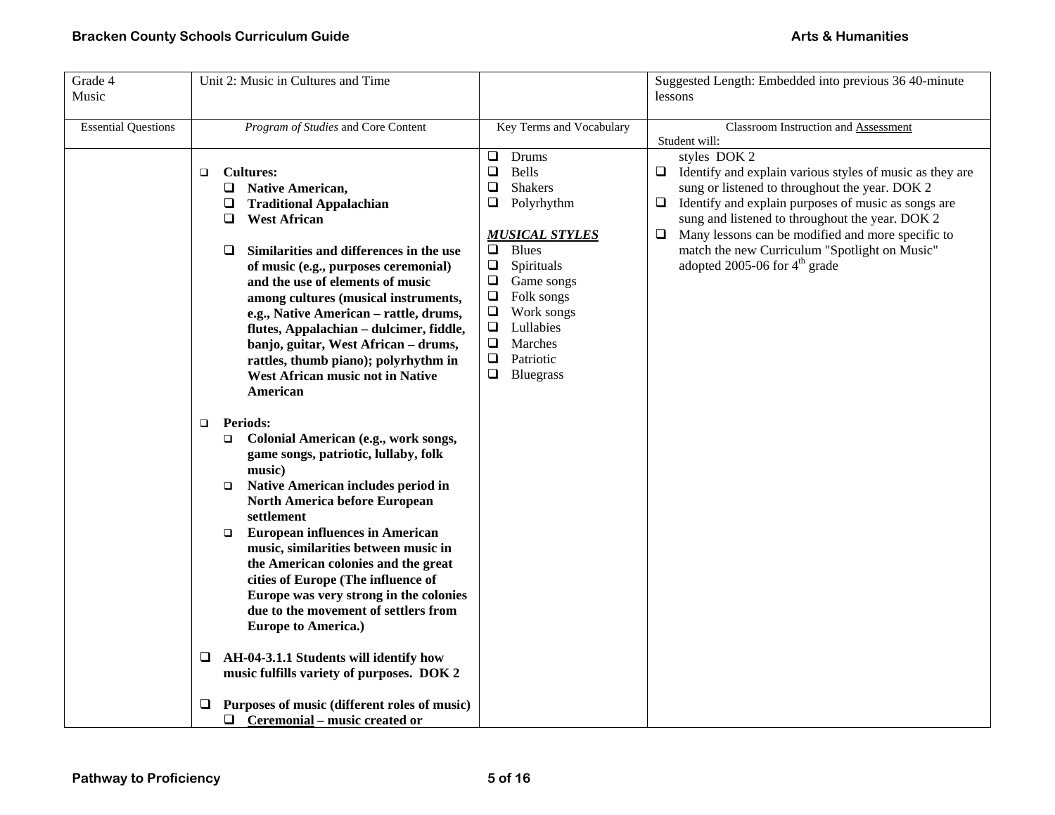| Grade 4<br>Music           | Unit 2: Music in Cultures and Time                                                                                                                                                                                                                                                                                                                                                                                                                                                                                                                                                                                                                                                                                                                                                                                                                                                                                                                                                                                                                                                                                                                                                                                                         |                                                                                                                                                                                                                                                                                                                                  | Suggested Length: Embedded into previous 36 40-minute<br>lessons                                                                                                                                                                                                                                                                                                                                                             |  |
|----------------------------|--------------------------------------------------------------------------------------------------------------------------------------------------------------------------------------------------------------------------------------------------------------------------------------------------------------------------------------------------------------------------------------------------------------------------------------------------------------------------------------------------------------------------------------------------------------------------------------------------------------------------------------------------------------------------------------------------------------------------------------------------------------------------------------------------------------------------------------------------------------------------------------------------------------------------------------------------------------------------------------------------------------------------------------------------------------------------------------------------------------------------------------------------------------------------------------------------------------------------------------------|----------------------------------------------------------------------------------------------------------------------------------------------------------------------------------------------------------------------------------------------------------------------------------------------------------------------------------|------------------------------------------------------------------------------------------------------------------------------------------------------------------------------------------------------------------------------------------------------------------------------------------------------------------------------------------------------------------------------------------------------------------------------|--|
| <b>Essential Questions</b> | Program of Studies and Core Content                                                                                                                                                                                                                                                                                                                                                                                                                                                                                                                                                                                                                                                                                                                                                                                                                                                                                                                                                                                                                                                                                                                                                                                                        | Key Terms and Vocabulary                                                                                                                                                                                                                                                                                                         | Classroom Instruction and Assessment                                                                                                                                                                                                                                                                                                                                                                                         |  |
|                            | <b>Cultures:</b><br>$\Box$<br>❏<br><b>Native American,</b><br><b>Traditional Appalachian</b><br>⊔<br><b>West African</b><br>❏<br>Similarities and differences in the use<br>□<br>of music (e.g., purposes ceremonial)<br>and the use of elements of music<br>among cultures (musical instruments,<br>e.g., Native American - rattle, drums,<br>flutes, Appalachian - dulcimer, fiddle,<br>banjo, guitar, West African - drums,<br>rattles, thumb piano); polyrhythm in<br>West African music not in Native<br>American<br><b>Periods:</b><br>$\Box$<br>Colonial American (e.g., work songs,<br>$\Box$<br>game songs, patriotic, lullaby, folk<br>music)<br>Native American includes period in<br>$\Box$<br><b>North America before European</b><br>settlement<br><b>European influences in American</b><br>$\Box$<br>music, similarities between music in<br>the American colonies and the great<br>cities of Europe (The influence of<br>Europe was very strong in the colonies<br>due to the movement of settlers from<br><b>Europe to America.)</b><br>AH-04-3.1.1 Students will identify how<br>⊔<br>music fulfills variety of purposes. DOK 2<br>Purposes of music (different roles of music)<br>$\Box$ Ceremonial – music created or | Drums<br>❏<br>$\Box$<br><b>Bells</b><br>$\Box$<br><b>Shakers</b><br>Polyrhythm<br>❏<br><b>MUSICAL STYLES</b><br>$\Box$<br><b>Blues</b><br>$\Box$<br>Spirituals<br>$\Box$<br>Game songs<br>$\Box$<br>Folk songs<br>$\Box$<br>Work songs<br>$\Box$<br>Lullabies<br>$\Box$<br>Marches<br>$\Box$<br>Patriotic<br>$\Box$<br>Bluegrass | Student will:<br>styles DOK 2<br>Identify and explain various styles of music as they are<br>□<br>sung or listened to throughout the year. DOK 2<br>Identify and explain purposes of music as songs are<br>⊔<br>sung and listened to throughout the year. DOK 2<br>Many lessons can be modified and more specific to<br>$\Box$<br>match the new Curriculum "Spotlight on Music"<br>adopted 2005-06 for 4 <sup>th</sup> grade |  |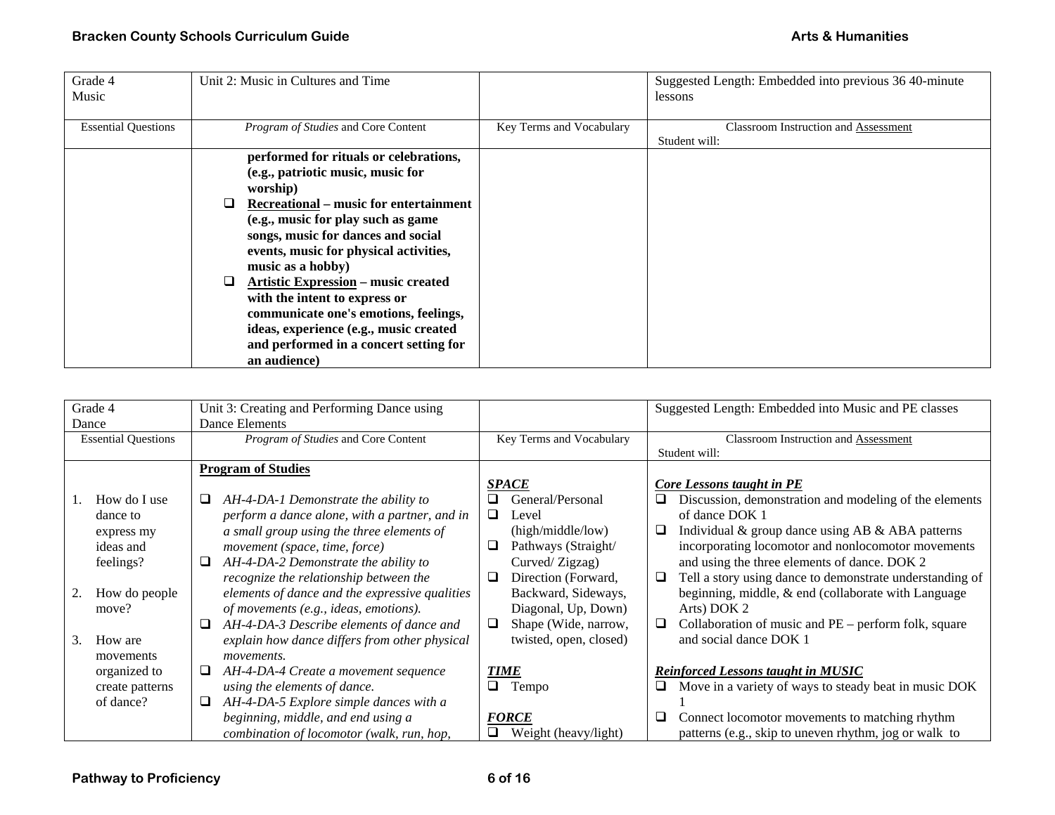| Grade 4<br>Music           | Unit 2: Music in Cultures and Time                                                                                                                                                                                                                                                                                                                                                                                                                                                                                   |                          | Suggested Length: Embedded into previous 36 40-minute<br>lessons |
|----------------------------|----------------------------------------------------------------------------------------------------------------------------------------------------------------------------------------------------------------------------------------------------------------------------------------------------------------------------------------------------------------------------------------------------------------------------------------------------------------------------------------------------------------------|--------------------------|------------------------------------------------------------------|
| <b>Essential Questions</b> | Program of Studies and Core Content                                                                                                                                                                                                                                                                                                                                                                                                                                                                                  | Key Terms and Vocabulary | <b>Classroom Instruction and Assessment</b><br>Student will:     |
|                            | performed for rituals or celebrations,<br>(e.g., patriotic music, music for<br>worship)<br><b>Recreational</b> – music for entertainment<br>(e.g., music for play such as game<br>songs, music for dances and social<br>events, music for physical activities,<br>music as a hobby)<br><b>Artistic Expression – music created</b><br>⊔<br>with the intent to express or<br>communicate one's emotions, feelings,<br>ideas, experience (e.g., music created<br>and performed in a concert setting for<br>an audience) |                          |                                                                  |

| Grade 4<br>Dance                                                                                                                         | Unit 3: Creating and Performing Dance using<br>Dance Elements                                                                                                                                                                                                                                                                                                                                                                                                                                                                                               |                                                                                                                                                                                                                                                                             | Suggested Length: Embedded into Music and PE classes                                                                                                                                                                                                                                                                                                                                                                                                                                                                                                 |
|------------------------------------------------------------------------------------------------------------------------------------------|-------------------------------------------------------------------------------------------------------------------------------------------------------------------------------------------------------------------------------------------------------------------------------------------------------------------------------------------------------------------------------------------------------------------------------------------------------------------------------------------------------------------------------------------------------------|-----------------------------------------------------------------------------------------------------------------------------------------------------------------------------------------------------------------------------------------------------------------------------|------------------------------------------------------------------------------------------------------------------------------------------------------------------------------------------------------------------------------------------------------------------------------------------------------------------------------------------------------------------------------------------------------------------------------------------------------------------------------------------------------------------------------------------------------|
| <b>Essential Questions</b>                                                                                                               | Program of Studies and Core Content                                                                                                                                                                                                                                                                                                                                                                                                                                                                                                                         | Key Terms and Vocabulary                                                                                                                                                                                                                                                    | Classroom Instruction and Assessment<br>Student will:                                                                                                                                                                                                                                                                                                                                                                                                                                                                                                |
| How do I use<br>dance to<br>express my<br>ideas and<br>feelings?<br>How do people<br>move?<br>How are<br>3.<br>movements<br>organized to | <b>Program of Studies</b><br>AH-4-DA-1 Demonstrate the ability to<br>u<br>perform a dance alone, with a partner, and in<br>a small group using the three elements of<br>movement (space, time, force)<br>AH-4-DA-2 Demonstrate the ability to<br>⊔<br>recognize the relationship between the<br>elements of dance and the expressive qualities<br>of movements (e.g., ideas, emotions).<br>AH-4-DA-3 Describe elements of dance and<br>⊔<br>explain how dance differs from other physical<br><i>movements.</i><br>AH-4-DA-4 Create a movement sequence<br>⊔ | <b>SPACE</b><br>General/Personal<br>ப<br>⊔<br>Level<br>(high/middle/low)<br>Pathways (Straight/<br>⊔<br>Curved/Zigzag)<br>Direction (Forward,<br>$\Box$<br>Backward, Sideways,<br>Diagonal, Up, Down)<br>Shape (Wide, narrow,<br>⊔<br>twisted, open, closed)<br><b>TIME</b> | Core Lessons taught in PE<br>Discussion, demonstration and modeling of the elements<br>❏<br>of dance DOK 1<br>Individual & group dance using AB & ABA patterns<br>□<br>incorporating locomotor and nonlocomotor movements<br>and using the three elements of dance. DOK 2<br>Tell a story using dance to demonstrate understanding of<br>⊔<br>beginning, middle, & end (collaborate with Language<br>Arts) DOK 2<br>Collaboration of music and PE – perform folk, square<br>⊔<br>and social dance DOK 1<br><b>Reinforced Lessons taught in MUSIC</b> |
| create patterns                                                                                                                          | using the elements of dance.                                                                                                                                                                                                                                                                                                                                                                                                                                                                                                                                | ⊔<br>Tempo                                                                                                                                                                                                                                                                  | Move in a variety of ways to steady beat in music DOK                                                                                                                                                                                                                                                                                                                                                                                                                                                                                                |
| of dance?                                                                                                                                | AH-4-DA-5 Explore simple dances with a<br>⊔<br>beginning, middle, and end using a<br>combination of locomotor (walk, run, hop,                                                                                                                                                                                                                                                                                                                                                                                                                              | <b>FORCE</b><br>Weight (heavy/light)                                                                                                                                                                                                                                        | Connect locomotor movements to matching rhythm<br>⊔<br>patterns (e.g., skip to uneven rhythm, jog or walk to                                                                                                                                                                                                                                                                                                                                                                                                                                         |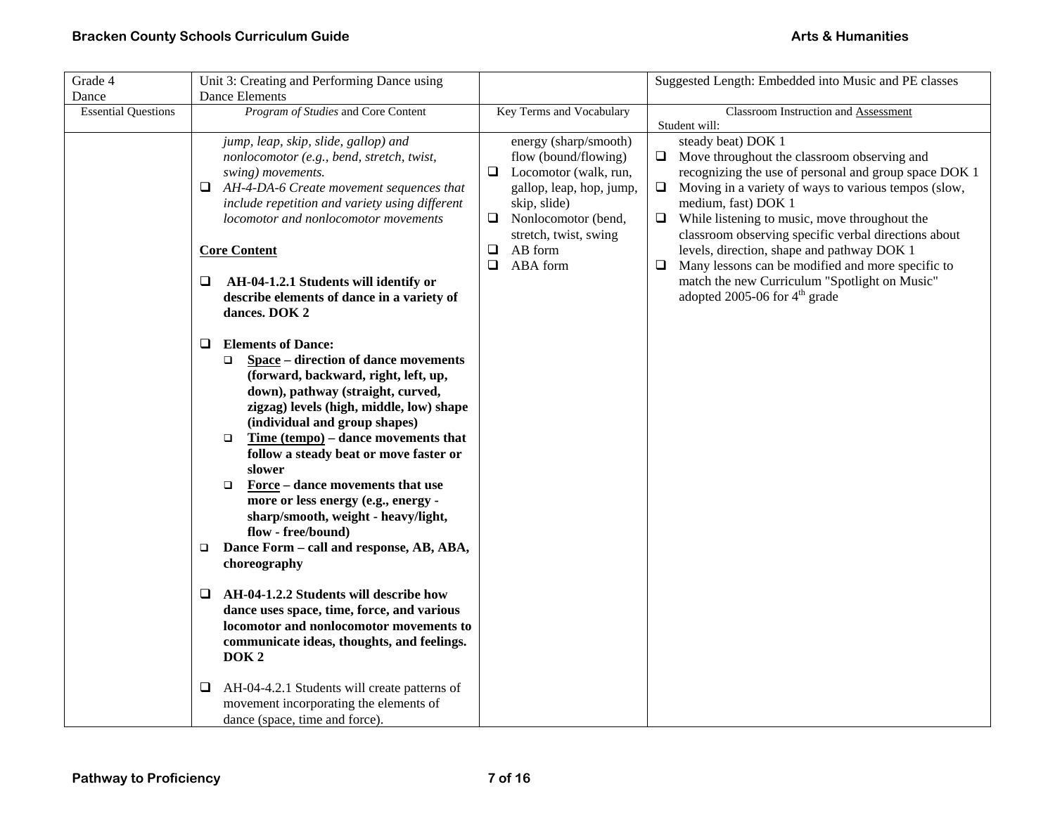| Grade 4                    | Unit 3: Creating and Performing Dance using                                             |                                                          | Suggested Length: Embedded into Music and PE classes                                                        |
|----------------------------|-----------------------------------------------------------------------------------------|----------------------------------------------------------|-------------------------------------------------------------------------------------------------------------|
| Dance                      | <b>Dance Elements</b>                                                                   |                                                          |                                                                                                             |
| <b>Essential Questions</b> | Program of Studies and Core Content                                                     | Key Terms and Vocabulary                                 | Classroom Instruction and Assessment                                                                        |
|                            |                                                                                         |                                                          | Student will:                                                                                               |
|                            | jump, leap, skip, slide, gallop) and                                                    | energy (sharp/smooth)                                    | steady beat) DOK 1                                                                                          |
|                            | nonlocomotor (e.g., bend, stretch, twist,                                               | flow (bound/flowing)                                     | $\Box$ Move throughout the classroom observing and<br>recognizing the use of personal and group space DOK 1 |
|                            | swing) movements.<br>AH-4-DA-6 Create movement sequences that<br>❏                      | $\Box$ Locomotor (walk, run,<br>gallop, leap, hop, jump, | Moving in a variety of ways to various tempos (slow,<br>$\Box$                                              |
|                            | include repetition and variety using different                                          | skip, slide)                                             | medium, fast) DOK 1                                                                                         |
|                            | locomotor and nonlocomotor movements                                                    | Nonlocomotor (bend,<br>❏                                 | While listening to music, move throughout the<br>$\Box$                                                     |
|                            |                                                                                         | stretch, twist, swing                                    | classroom observing specific verbal directions about                                                        |
|                            | <b>Core Content</b>                                                                     | AB form<br>❏                                             | levels, direction, shape and pathway DOK 1                                                                  |
|                            |                                                                                         | ABA form<br>❏                                            | Many lessons can be modified and more specific to<br>⊔                                                      |
|                            | Q<br>AH-04-1.2.1 Students will identify or                                              |                                                          | match the new Curriculum "Spotlight on Music"                                                               |
|                            | describe elements of dance in a variety of                                              |                                                          | adopted 2005-06 for $4th$ grade                                                                             |
|                            | dances. DOK 2                                                                           |                                                          |                                                                                                             |
|                            |                                                                                         |                                                          |                                                                                                             |
|                            | <b>Elements of Dance:</b><br>❏                                                          |                                                          |                                                                                                             |
|                            | Space – direction of dance movements<br>$\Box$                                          |                                                          |                                                                                                             |
|                            | (forward, backward, right, left, up,                                                    |                                                          |                                                                                                             |
|                            | down), pathway (straight, curved,                                                       |                                                          |                                                                                                             |
|                            | zigzag) levels (high, middle, low) shape                                                |                                                          |                                                                                                             |
|                            | (individual and group shapes)                                                           |                                                          |                                                                                                             |
|                            | Time $tempo$ – dance movements that<br>$\Box$<br>follow a steady beat or move faster or |                                                          |                                                                                                             |
|                            | slower                                                                                  |                                                          |                                                                                                             |
|                            | Force – dance movements that use<br>$\Box$                                              |                                                          |                                                                                                             |
|                            | more or less energy (e.g., energy -                                                     |                                                          |                                                                                                             |
|                            | sharp/smooth, weight - heavy/light,                                                     |                                                          |                                                                                                             |
|                            | flow - free/bound)                                                                      |                                                          |                                                                                                             |
|                            | Dance Form - call and response, AB, ABA,<br>$\Box$                                      |                                                          |                                                                                                             |
|                            | choreography                                                                            |                                                          |                                                                                                             |
|                            |                                                                                         |                                                          |                                                                                                             |
|                            | AH-04-1.2.2 Students will describe how<br>❏                                             |                                                          |                                                                                                             |
|                            | dance uses space, time, force, and various                                              |                                                          |                                                                                                             |
|                            | locomotor and nonlocomotor movements to                                                 |                                                          |                                                                                                             |
|                            | communicate ideas, thoughts, and feelings.                                              |                                                          |                                                                                                             |
|                            | DOK <sub>2</sub>                                                                        |                                                          |                                                                                                             |
|                            | AH-04-4.2.1 Students will create patterns of<br>❏                                       |                                                          |                                                                                                             |
|                            | movement incorporating the elements of                                                  |                                                          |                                                                                                             |
|                            | dance (space, time and force).                                                          |                                                          |                                                                                                             |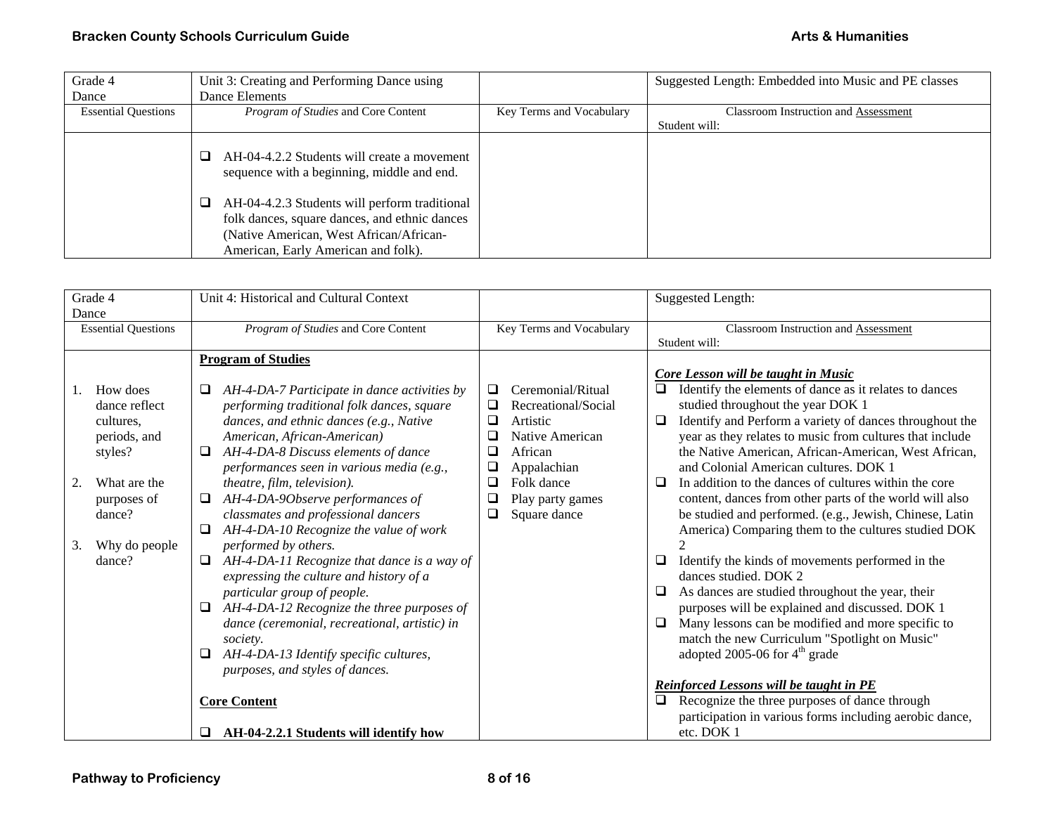| Grade 4                    | Unit 3: Creating and Performing Dance using                                               |                          | Suggested Length: Embedded into Music and PE classes |
|----------------------------|-------------------------------------------------------------------------------------------|--------------------------|------------------------------------------------------|
| Dance                      | Dance Elements                                                                            |                          |                                                      |
| <b>Essential Questions</b> | <i>Program of Studies</i> and Core Content                                                | Key Terms and Vocabulary | Classroom Instruction and Assessment                 |
|                            |                                                                                           |                          | Student will:                                        |
|                            | AH-04-4.2.2 Students will create a movement<br>sequence with a beginning, middle and end. |                          |                                                      |
|                            | AH-04-4.2.3 Students will perform traditional                                             |                          |                                                      |
|                            | folk dances, square dances, and ethnic dances                                             |                          |                                                      |
|                            | (Native American, West African/African-                                                   |                          |                                                      |
|                            | American, Early American and folk).                                                       |                          |                                                      |

| Grade 4<br>Dance                                                                                                                                  | Unit 4: Historical and Cultural Context                                                                                                                                                                                                                                                                                                                                                                                                                                                                                                                                                                                                                                                                                                                                                                                                                                            |                                                                                                                                                                                                                           | <b>Suggested Length:</b>                                                                                                                                                                                                                                                                                                                                                                                                                                                                                                                                                                                                                                                                                                                                                                                                                                                                                                                                                                                                                                                                                                              |
|---------------------------------------------------------------------------------------------------------------------------------------------------|------------------------------------------------------------------------------------------------------------------------------------------------------------------------------------------------------------------------------------------------------------------------------------------------------------------------------------------------------------------------------------------------------------------------------------------------------------------------------------------------------------------------------------------------------------------------------------------------------------------------------------------------------------------------------------------------------------------------------------------------------------------------------------------------------------------------------------------------------------------------------------|---------------------------------------------------------------------------------------------------------------------------------------------------------------------------------------------------------------------------|---------------------------------------------------------------------------------------------------------------------------------------------------------------------------------------------------------------------------------------------------------------------------------------------------------------------------------------------------------------------------------------------------------------------------------------------------------------------------------------------------------------------------------------------------------------------------------------------------------------------------------------------------------------------------------------------------------------------------------------------------------------------------------------------------------------------------------------------------------------------------------------------------------------------------------------------------------------------------------------------------------------------------------------------------------------------------------------------------------------------------------------|
| <b>Essential Questions</b>                                                                                                                        | Program of Studies and Core Content                                                                                                                                                                                                                                                                                                                                                                                                                                                                                                                                                                                                                                                                                                                                                                                                                                                | Key Terms and Vocabulary                                                                                                                                                                                                  | Classroom Instruction and Assessment<br>Student will:                                                                                                                                                                                                                                                                                                                                                                                                                                                                                                                                                                                                                                                                                                                                                                                                                                                                                                                                                                                                                                                                                 |
| How does<br>dance reflect<br>cultures,<br>periods, and<br>styles?<br>What are the<br>2.<br>purposes of<br>dance?<br>Why do people<br>3.<br>dance? | <b>Program of Studies</b><br>AH-4-DA-7 Participate in dance activities by<br>Q.<br>performing traditional folk dances, square<br>dances, and ethnic dances (e.g., Native<br>American, African-American)<br>AH-4-DA-8 Discuss elements of dance<br>❏<br>performances seen in various media (e.g.,<br>theatre, film, television).<br>AH-4-DA-9Observe performances of<br>classmates and professional dancers<br>AH-4-DA-10 Recognize the value of work<br>performed by others.<br>AH-4-DA-11 Recognize that dance is a way of<br>$\Box$<br>expressing the culture and history of a<br>particular group of people.<br>AH-4-DA-12 Recognize the three purposes of<br>dance (ceremonial, recreational, artistic) in<br>society.<br>AH-4-DA-13 Identify specific cultures,<br>⊔<br>purposes, and styles of dances.<br><b>Core Content</b><br>AH-04-2.2.1 Students will identify how<br>u | Ceremonial/Ritual<br>$\Box$<br>Recreational/Social<br>❏<br>❏<br>Artistic<br>Native American<br>u<br>$\Box$<br>African<br>$\Box$<br>Appalachian<br>$\Box$<br>Folk dance<br>$\Box$<br>Play party games<br>Square dance<br>❏ | Core Lesson will be taught in Music<br>Identify the elements of dance as it relates to dances<br>$\Box$<br>studied throughout the year DOK 1<br>Identify and Perform a variety of dances throughout the<br>□<br>year as they relates to music from cultures that include<br>the Native American, African-American, West African,<br>and Colonial American cultures. DOK 1<br>In addition to the dances of cultures within the core<br>□<br>content, dances from other parts of the world will also<br>be studied and performed. (e.g., Jewish, Chinese, Latin<br>America) Comparing them to the cultures studied DOK<br>Identify the kinds of movements performed in the<br>❏<br>dances studied. DOK 2<br>As dances are studied throughout the year, their<br>⊔<br>purposes will be explained and discussed. DOK 1<br>Many lessons can be modified and more specific to<br>□<br>match the new Curriculum "Spotlight on Music"<br>adopted 2005-06 for $4th$ grade<br>Reinforced Lessons will be taught in PE<br>Recognize the three purposes of dance through<br>participation in various forms including aerobic dance,<br>etc. DOK 1 |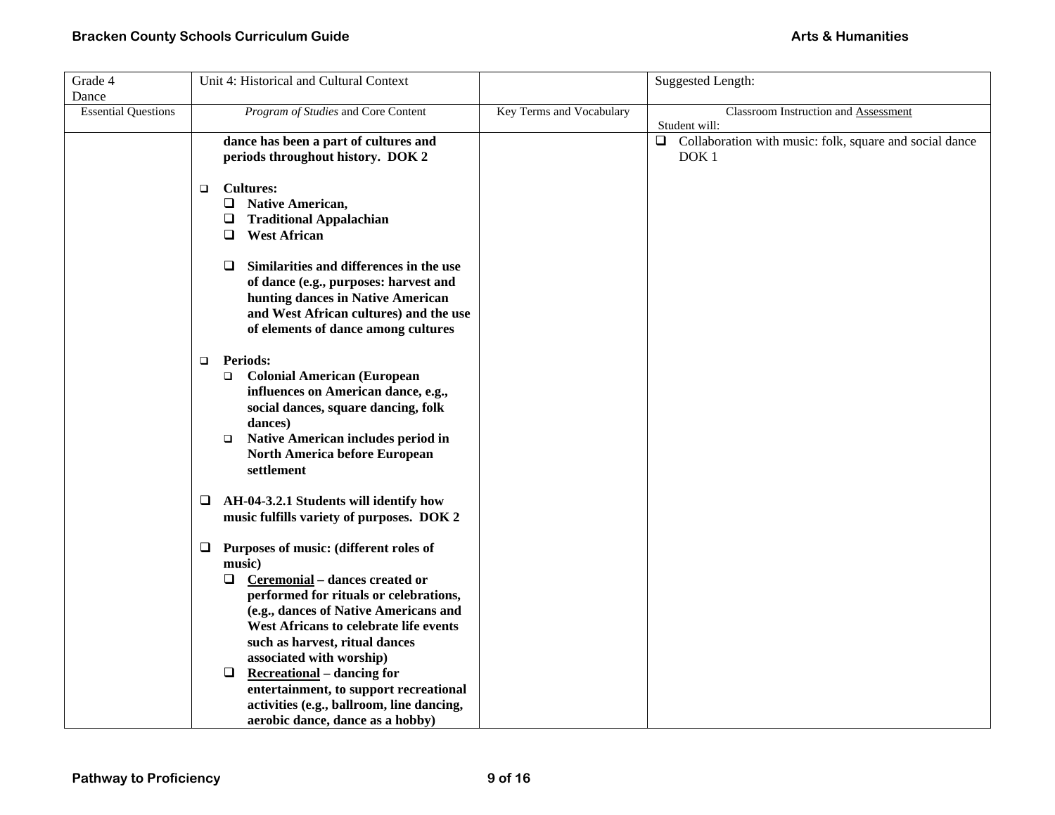| Grade 4                    | Unit 4: Historical and Cultural Context                                                                                                                                                                                                                                                                                                                                                                                                                             |                          | <b>Suggested Length:</b>                                                              |
|----------------------------|---------------------------------------------------------------------------------------------------------------------------------------------------------------------------------------------------------------------------------------------------------------------------------------------------------------------------------------------------------------------------------------------------------------------------------------------------------------------|--------------------------|---------------------------------------------------------------------------------------|
| Dance                      |                                                                                                                                                                                                                                                                                                                                                                                                                                                                     |                          |                                                                                       |
| <b>Essential Questions</b> | Program of Studies and Core Content                                                                                                                                                                                                                                                                                                                                                                                                                                 | Key Terms and Vocabulary | <b>Classroom Instruction and Assessment</b><br>Student will:                          |
|                            | dance has been a part of cultures and<br>periods throughout history. DOK 2                                                                                                                                                                                                                                                                                                                                                                                          |                          | $\Box$<br>Collaboration with music: folk, square and social dance<br>DOK <sub>1</sub> |
|                            | <b>Cultures:</b><br>□<br><b>Native American,</b><br>Q.<br>$\Box$ Traditional Appalachian<br><b>West African</b><br>$\Box$                                                                                                                                                                                                                                                                                                                                           |                          |                                                                                       |
|                            | Similarities and differences in the use<br>□<br>of dance (e.g., purposes: harvest and<br>hunting dances in Native American<br>and West African cultures) and the use<br>of elements of dance among cultures                                                                                                                                                                                                                                                         |                          |                                                                                       |
|                            | <b>Periods:</b><br>$\Box$<br><b>Colonial American (European</b><br>о<br>influences on American dance, e.g.,<br>social dances, square dancing, folk<br>dances)<br>Native American includes period in<br>$\Box$<br>North America before European<br>settlement                                                                                                                                                                                                        |                          |                                                                                       |
|                            | AH-04-3.2.1 Students will identify how<br>⊔<br>music fulfills variety of purposes. DOK 2                                                                                                                                                                                                                                                                                                                                                                            |                          |                                                                                       |
|                            | Purposes of music: (different roles of<br>⊔<br>music)<br>$\Box$ Ceremonial – dances created or<br>performed for rituals or celebrations,<br>(e.g., dances of Native Americans and<br>West Africans to celebrate life events<br>such as harvest, ritual dances<br>associated with worship)<br>$\Box$<br><b>Recreational</b> – dancing for<br>entertainment, to support recreational<br>activities (e.g., ballroom, line dancing,<br>aerobic dance, dance as a hobby) |                          |                                                                                       |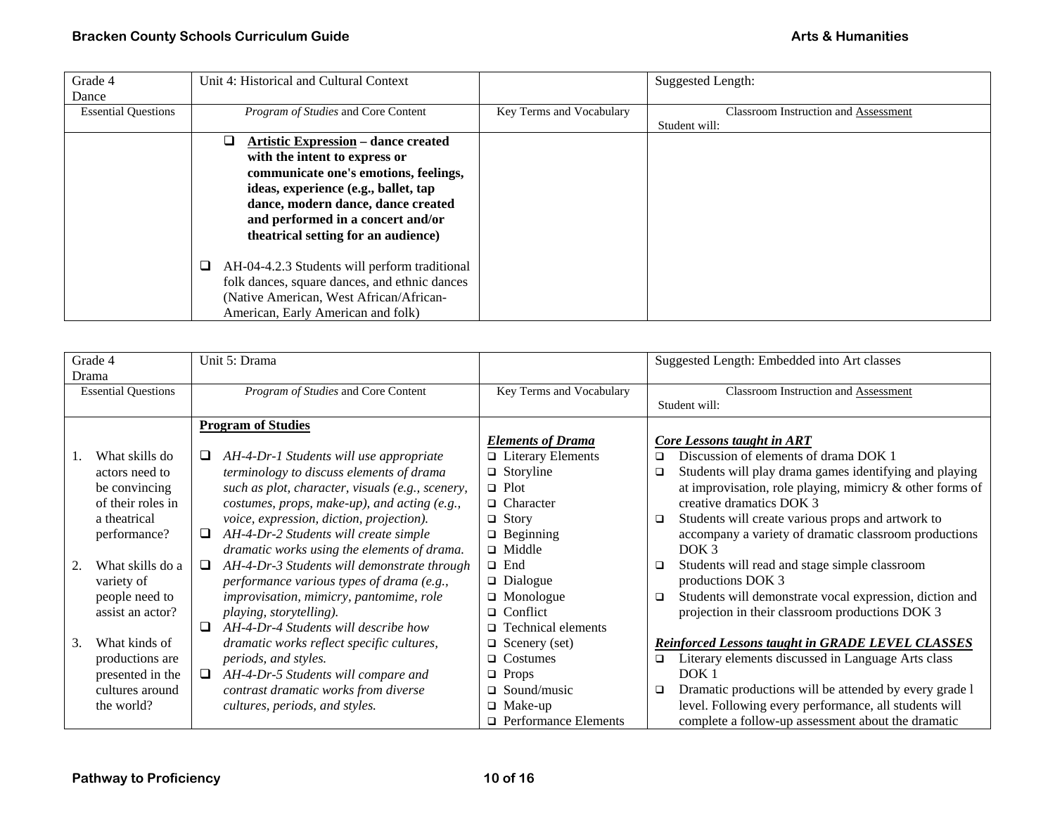| Grade 4                    | Unit 4: Historical and Cultural Context            |                          | Suggested Length:                           |
|----------------------------|----------------------------------------------------|--------------------------|---------------------------------------------|
| Dance                      |                                                    |                          |                                             |
| <b>Essential Questions</b> | Program of Studies and Core Content                | Key Terms and Vocabulary | <b>Classroom Instruction and Assessment</b> |
|                            |                                                    |                          | Student will:                               |
|                            | <b>Artistic Expression – dance created</b><br>⊔    |                          |                                             |
|                            | with the intent to express or                      |                          |                                             |
|                            | communicate one's emotions, feelings,              |                          |                                             |
|                            | ideas, experience (e.g., ballet, tap               |                          |                                             |
|                            | dance, modern dance, dance created                 |                          |                                             |
|                            | and performed in a concert and/or                  |                          |                                             |
|                            | theatrical setting for an audience)                |                          |                                             |
|                            |                                                    |                          |                                             |
|                            | AH-04-4.2.3 Students will perform traditional<br>❏ |                          |                                             |
|                            | folk dances, square dances, and ethnic dances      |                          |                                             |
|                            | (Native American, West African/African-            |                          |                                             |
|                            | American, Early American and folk)                 |                          |                                             |

| Grade 4 |                            |        |                                                  |                             |        |                                                          |
|---------|----------------------------|--------|--------------------------------------------------|-----------------------------|--------|----------------------------------------------------------|
|         |                            |        | Unit 5: Drama                                    |                             |        | Suggested Length: Embedded into Art classes              |
| Drama   |                            |        |                                                  |                             |        |                                                          |
|         | <b>Essential Questions</b> |        | Program of Studies and Core Content              | Key Terms and Vocabulary    |        | Classroom Instruction and Assessment                     |
|         |                            |        |                                                  |                             |        | Student will:                                            |
|         |                            |        | <b>Program of Studies</b>                        |                             |        |                                                          |
|         |                            |        |                                                  | <b>Elements of Drama</b>    |        | Core Lessons taught in ART                               |
|         | What skills do             |        | AH-4-Dr-1 Students will use appropriate          | $\Box$ Literary Elements    | ◻      | Discussion of elements of drama DOK 1                    |
|         | actors need to             |        | terminology to discuss elements of drama         | $\Box$ Storyline            | $\Box$ | Students will play drama games identifying and playing   |
|         | be convincing              |        | such as plot, character, visuals (e.g., scenery, | $\Box$ Plot                 |        | at improvisation, role playing, mimicry & other forms of |
|         | of their roles in          |        | costumes, props, make-up), and acting (e.g.,     | $\Box$ Character            |        | creative dramatics DOK 3                                 |
|         | a theatrical               |        | voice, expression, diction, projection).         | $\Box$ Story                | $\Box$ | Students will create various props and artwork to        |
|         | performance?               | ❏      | AH-4-Dr-2 Students will create simple            | $\Box$ Beginning            |        | accompany a variety of dramatic classroom productions    |
|         |                            |        | dramatic works using the elements of drama.      | $\Box$ Middle               |        | DOK <sub>3</sub>                                         |
| 2.      | What skills do a           | $\Box$ | AH-4-Dr-3 Students will demonstrate through      | $\Box$ End                  | $\Box$ | Students will read and stage simple classroom            |
|         | variety of                 |        | performance various types of drama (e.g.,        | $\Box$ Dialogue             |        | productions DOK 3                                        |
|         | people need to             |        | improvisation, mimicry, pantomime, role          | $\Box$ Monologue            | $\Box$ | Students will demonstrate vocal expression, diction and  |
|         | assist an actor?           |        | playing, storytelling).                          | $\Box$ Conflict             |        | projection in their classroom productions DOK 3          |
|         |                            | $\Box$ | AH-4-Dr-4 Students will describe how             | $\Box$ Technical elements   |        |                                                          |
| 3.      | What kinds of              |        | dramatic works reflect specific cultures,        | $\Box$ Scenery (set)        |        | <b>Reinforced Lessons taught in GRADE LEVEL CLASSES</b>  |
|         | productions are            |        | periods, and styles.                             | $\Box$ Costumes             | ❏      | Literary elements discussed in Language Arts class       |
|         | presented in the           |        | AH-4-Dr-5 Students will compare and              | $\Box$ Props                |        | DOK <sub>1</sub>                                         |
|         | cultures around            |        | contrast dramatic works from diverse             | $\Box$ Sound/music          | $\Box$ | Dramatic productions will be attended by every grade 1   |
|         | the world?                 |        | cultures, periods, and styles.                   | $\Box$ Make-up              |        | level. Following every performance, all students will    |
|         |                            |        |                                                  | $\Box$ Performance Elements |        | complete a follow-up assessment about the dramatic       |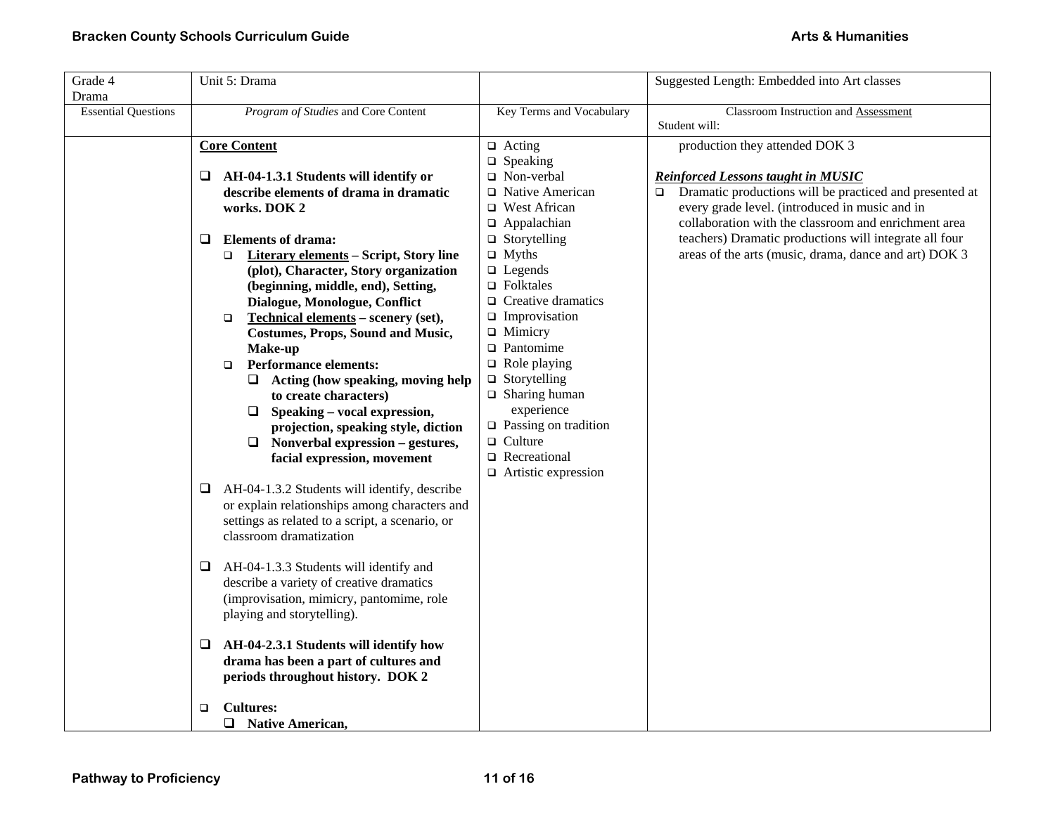| Grade 4<br>Drama           | Unit 5: Drama                                                                                                                                                                                                                                                                                                                                                                                                                                                                                                                                                                                                                                                                                                                                                                                                                                                                                                                                                                                                                                                                                                                                                                                              |                                                                                                                                                                                                                                                                                                                                                                                                                                                         | Suggested Length: Embedded into Art classes                                                                                                                                                                                                                                                                                                 |
|----------------------------|------------------------------------------------------------------------------------------------------------------------------------------------------------------------------------------------------------------------------------------------------------------------------------------------------------------------------------------------------------------------------------------------------------------------------------------------------------------------------------------------------------------------------------------------------------------------------------------------------------------------------------------------------------------------------------------------------------------------------------------------------------------------------------------------------------------------------------------------------------------------------------------------------------------------------------------------------------------------------------------------------------------------------------------------------------------------------------------------------------------------------------------------------------------------------------------------------------|---------------------------------------------------------------------------------------------------------------------------------------------------------------------------------------------------------------------------------------------------------------------------------------------------------------------------------------------------------------------------------------------------------------------------------------------------------|---------------------------------------------------------------------------------------------------------------------------------------------------------------------------------------------------------------------------------------------------------------------------------------------------------------------------------------------|
| <b>Essential Questions</b> | Program of Studies and Core Content                                                                                                                                                                                                                                                                                                                                                                                                                                                                                                                                                                                                                                                                                                                                                                                                                                                                                                                                                                                                                                                                                                                                                                        | Key Terms and Vocabulary                                                                                                                                                                                                                                                                                                                                                                                                                                | <b>Classroom Instruction and Assessment</b><br>Student will:                                                                                                                                                                                                                                                                                |
|                            | <b>Core Content</b>                                                                                                                                                                                                                                                                                                                                                                                                                                                                                                                                                                                                                                                                                                                                                                                                                                                                                                                                                                                                                                                                                                                                                                                        | $\Box$ Acting                                                                                                                                                                                                                                                                                                                                                                                                                                           | production they attended DOK 3                                                                                                                                                                                                                                                                                                              |
|                            | AH-04-1.3.1 Students will identify or<br>⊔<br>describe elements of drama in dramatic<br>works. DOK 2<br><b>Elements of drama:</b><br>Q<br><b>Literary elements – Script, Story line</b><br>$\Box$<br>(plot), Character, Story organization<br>(beginning, middle, end), Setting,<br>Dialogue, Monologue, Conflict<br>Technical elements - scenery (set),<br>$\Box$<br><b>Costumes, Props, Sound and Music,</b><br>Make-up<br><b>Performance elements:</b><br>$\Box$<br>$\Box$ Acting (how speaking, moving help<br>to create characters)<br>$\Box$ Speaking – vocal expression,<br>projection, speaking style, diction<br>$\Box$ Nonverbal expression – gestures,<br>facial expression, movement<br>AH-04-1.3.2 Students will identify, describe<br>⊔<br>or explain relationships among characters and<br>settings as related to a script, a scenario, or<br>classroom dramatization<br>AH-04-1.3.3 Students will identify and<br>⊔<br>describe a variety of creative dramatics<br>(improvisation, mimicry, pantomime, role<br>playing and storytelling).<br>AH-04-2.3.1 Students will identify how<br>⊔<br>drama has been a part of cultures and<br>periods throughout history. DOK 2<br><b>Cultures:</b> | $\Box$ Speaking<br>□ Non-verbal<br>□ Native American<br>□ West African<br>$\Box$ Appalachian<br>$\Box$ Storytelling<br>$\Box$ Myths<br>$\Box$ Legends<br>$\Box$ Folktales<br>$\Box$ Creative dramatics<br>$\Box$ Improvisation<br>$\Box$ Mimicry<br>$\Box$ Pantomime<br>$\Box$ Role playing<br>$\Box$ Storytelling<br>$\Box$ Sharing human<br>experience<br>$\Box$ Passing on tradition<br>$\Box$ Culture<br>Recreational<br>$\Box$ Artistic expression | <b>Reinforced Lessons taught in MUSIC</b><br>Dramatic productions will be practiced and presented at<br>$\Box$<br>every grade level. (introduced in music and in<br>collaboration with the classroom and enrichment area<br>teachers) Dramatic productions will integrate all four<br>areas of the arts (music, drama, dance and art) DOK 3 |
|                            | ▫<br>□ Native American,                                                                                                                                                                                                                                                                                                                                                                                                                                                                                                                                                                                                                                                                                                                                                                                                                                                                                                                                                                                                                                                                                                                                                                                    |                                                                                                                                                                                                                                                                                                                                                                                                                                                         |                                                                                                                                                                                                                                                                                                                                             |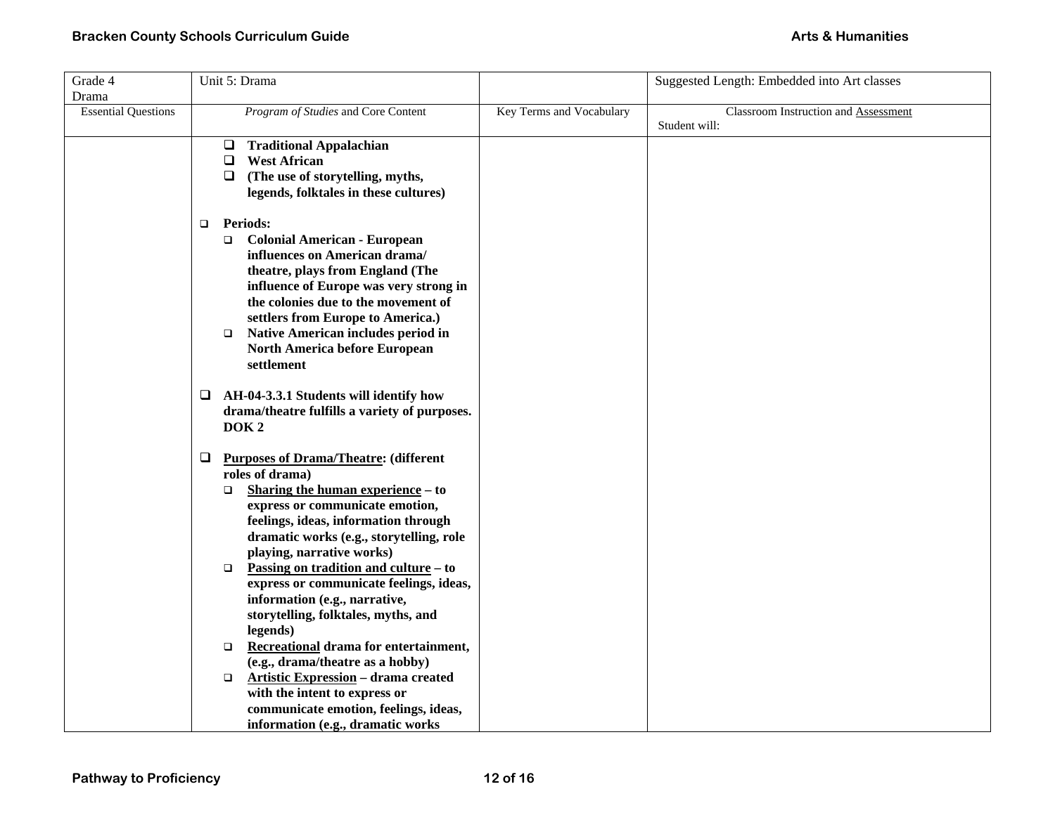| Unit 5: Drama                                                                                                                                                                                                                                                                                                                                                                                                                                                                                                                                                                                                                                                                                  |                                   | Suggested Length: Embedded into Art classes           |
|------------------------------------------------------------------------------------------------------------------------------------------------------------------------------------------------------------------------------------------------------------------------------------------------------------------------------------------------------------------------------------------------------------------------------------------------------------------------------------------------------------------------------------------------------------------------------------------------------------------------------------------------------------------------------------------------|-----------------------------------|-------------------------------------------------------|
|                                                                                                                                                                                                                                                                                                                                                                                                                                                                                                                                                                                                                                                                                                |                                   |                                                       |
| Program of Studies and Core Content                                                                                                                                                                                                                                                                                                                                                                                                                                                                                                                                                                                                                                                            | Key Terms and Vocabulary          | Classroom Instruction and Assessment<br>Student will: |
| <b>Traditional Appalachian</b><br>$\Box$<br><b>West African</b><br>$\Box$<br>$\Box$<br>(The use of storytelling, myths,<br>legends, folktales in these cultures)                                                                                                                                                                                                                                                                                                                                                                                                                                                                                                                               |                                   |                                                       |
| <b>Periods:</b><br>$\Box$<br><b>Colonial American - European</b><br>$\Box$<br>influences on American drama/<br>theatre, plays from England (The<br>influence of Europe was very strong in<br>the colonies due to the movement of<br>settlers from Europe to America.)<br><b>Native American includes period in</b><br>$\Box$<br>North America before European<br>settlement                                                                                                                                                                                                                                                                                                                    |                                   |                                                       |
| AH-04-3.3.1 Students will identify how<br>$\Box$<br>drama/theatre fulfills a variety of purposes.<br>DOK <sub>2</sub>                                                                                                                                                                                                                                                                                                                                                                                                                                                                                                                                                                          |                                   |                                                       |
| $\Box$<br><b>Purposes of Drama/Theatre: (different</b><br>roles of drama)<br>Sharing the human experience – to<br>$\Box$<br>express or communicate emotion,<br>feelings, ideas, information through<br>dramatic works (e.g., storytelling, role<br>playing, narrative works)<br><u>Passing on tradition and culture</u> – to<br>$\Box$<br>express or communicate feelings, ideas,<br>information (e.g., narrative,<br>storytelling, folktales, myths, and<br>legends)<br>Recreational drama for entertainment,<br>$\Box$<br>(e.g., drama/theatre as a hobby)<br><b>Artistic Expression - drama created</b><br>$\Box$<br>with the intent to express or<br>communicate emotion, feelings, ideas, |                                   |                                                       |
|                                                                                                                                                                                                                                                                                                                                                                                                                                                                                                                                                                                                                                                                                                | information (e.g., dramatic works |                                                       |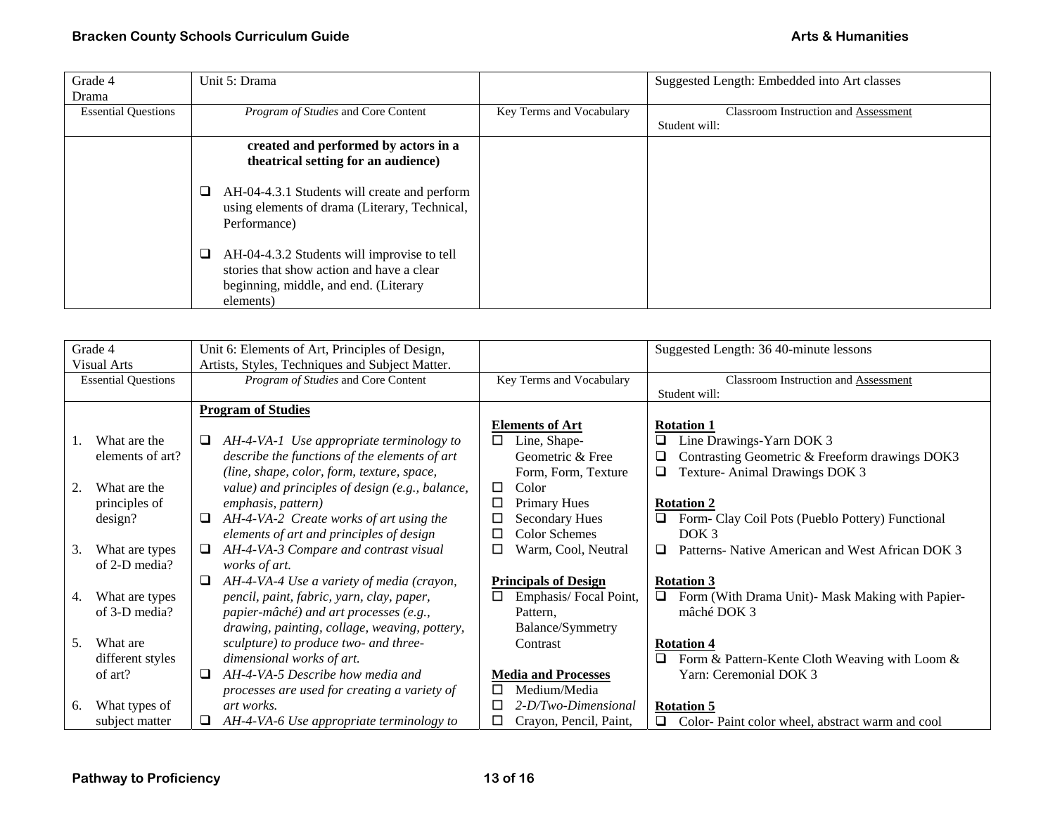| Grade 4                    | Unit 5: Drama                                                                                                                                       |                          | Suggested Length: Embedded into Art classes |
|----------------------------|-----------------------------------------------------------------------------------------------------------------------------------------------------|--------------------------|---------------------------------------------|
| Drama                      |                                                                                                                                                     |                          |                                             |
| <b>Essential Questions</b> | Program of Studies and Core Content                                                                                                                 | Key Terms and Vocabulary | <b>Classroom Instruction and Assessment</b> |
|                            |                                                                                                                                                     |                          | Student will:                               |
|                            | created and performed by actors in a                                                                                                                |                          |                                             |
|                            | theatrical setting for an audience)                                                                                                                 |                          |                                             |
|                            | AH-04-4.3.1 Students will create and perform<br>u<br>using elements of drama (Literary, Technical,<br>Performance)                                  |                          |                                             |
|                            | AH-04-4.3.2 Students will improvise to tell<br>u<br>stories that show action and have a clear<br>beginning, middle, and end. (Literary<br>elements) |                          |                                             |

| Grade 4                    | Unit 6: Elements of Art, Principles of Design,  |                               | Suggested Length: 36 40-minute lessons                |
|----------------------------|-------------------------------------------------|-------------------------------|-------------------------------------------------------|
| <b>Visual Arts</b>         | Artists, Styles, Techniques and Subject Matter. |                               |                                                       |
| <b>Essential Questions</b> | Program of Studies and Core Content             | Key Terms and Vocabulary      | <b>Classroom Instruction and Assessment</b>           |
|                            |                                                 |                               | Student will:                                         |
|                            | <b>Program of Studies</b>                       |                               |                                                       |
|                            |                                                 | <b>Elements of Art</b>        | <b>Rotation 1</b>                                     |
| What are the               | AH-4-VA-1 Use appropriate terminology to<br>⊔   | Line, Shape-<br>□             | Line Drawings-Yarn DOK 3                              |
| elements of art?           | describe the functions of the elements of art   | Geometric & Free              | Contrasting Geometric & Freeform drawings DOK3<br>❏   |
|                            | (line, shape, color, form, texture, space,      | Form, Form, Texture           | Texture-Animal Drawings DOK 3                         |
| What are the<br>2.         | value) and principles of design (e.g., balance, | $\Box$<br>Color               |                                                       |
| principles of              | emphasis, pattern)                              | $\Box$<br><b>Primary Hues</b> | <b>Rotation 2</b>                                     |
| design?                    | AH-4-VA-2 Create works of art using the<br>□    | □<br><b>Secondary Hues</b>    | Form- Clay Coil Pots (Pueblo Pottery) Functional      |
|                            | elements of art and principles of design        | <b>Color Schemes</b><br>□     | DOK <sub>3</sub>                                      |
| 3.<br>What are types       | AH-4-VA-3 Compare and contrast visual<br>⊔      | Warm, Cool, Neutral<br>□      | Patterns- Native American and West African DOK 3<br>□ |
| of 2-D media?              | works of art.                                   |                               |                                                       |
|                            | AH-4-VA-4 Use a variety of media (crayon,<br>⊔  | <b>Principals of Design</b>   | <b>Rotation 3</b>                                     |
|                            |                                                 | □                             | $\Box$                                                |
| What are types<br>4.       | pencil, paint, fabric, yarn, clay, paper,       | Emphasis/Focal Point,         | Form (With Drama Unit)- Mask Making with Papier-      |
| of 3-D media?              | papier-mâché) and art processes (e.g.,          | Pattern,                      | mâché DOK 3                                           |
|                            | drawing, painting, collage, weaving, pottery,   | Balance/Symmetry              |                                                       |
| What are<br>5.             | sculpture) to produce two- and three-           | Contrast                      | <b>Rotation 4</b>                                     |
| different styles           | dimensional works of art.                       |                               | Form & Pattern-Kente Cloth Weaving with Loom &        |
| of art?                    | AH-4-VA-5 Describe how media and<br>❏           | <b>Media and Processes</b>    | Yarn: Ceremonial DOK 3                                |
|                            | processes are used for creating a variety of    | Medium/Media<br>□             |                                                       |
| What types of<br>6.        | art works.                                      | 2-D/Two-Dimensional<br>⊔      | <b>Rotation 5</b>                                     |
| subject matter             | AH-4-VA-6 Use appropriate terminology to<br>⊔   | Crayon, Pencil, Paint,<br>□   | □<br>Color-Paint color wheel, abstract warm and cool  |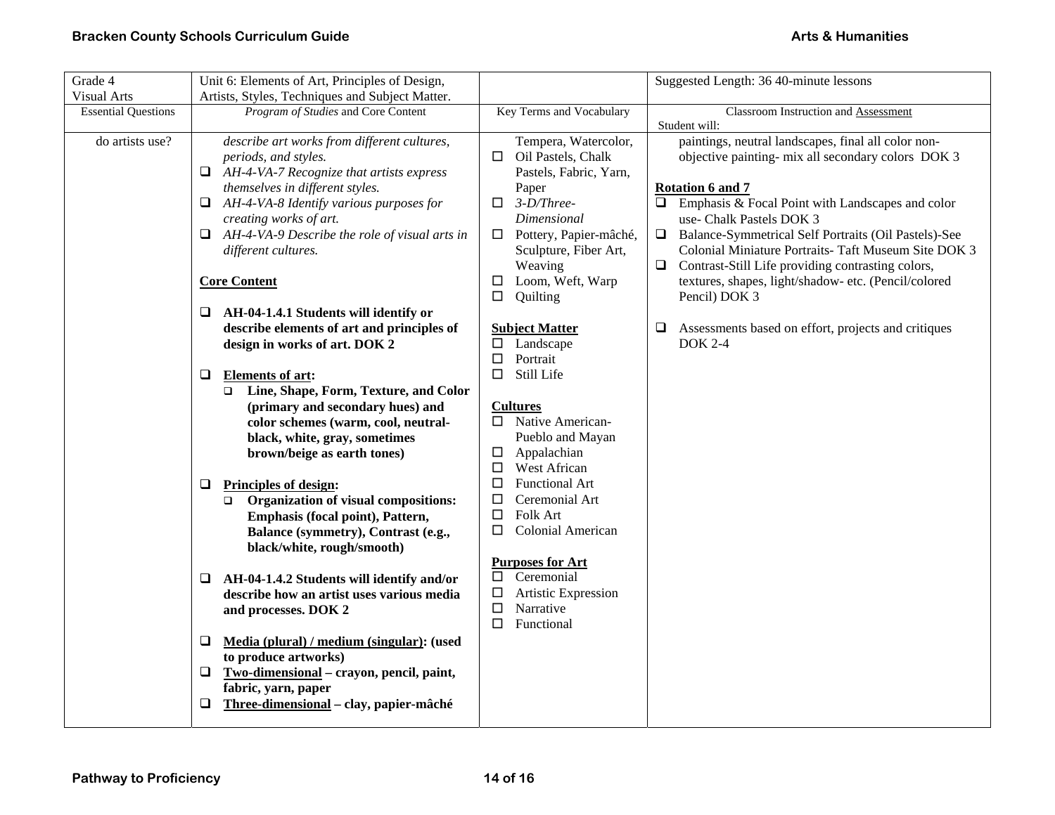| Grade 4                    | Unit 6: Elements of Art, Principles of Design,      |                                    | Suggested Length: 36 40-minute lessons                   |
|----------------------------|-----------------------------------------------------|------------------------------------|----------------------------------------------------------|
| <b>Visual Arts</b>         | Artists, Styles, Techniques and Subject Matter.     |                                    |                                                          |
| <b>Essential Questions</b> | Program of Studies and Core Content                 | Key Terms and Vocabulary           | Classroom Instruction and Assessment                     |
|                            |                                                     |                                    | Student will:                                            |
| do artists use?            | describe art works from different cultures,         | Tempera, Watercolor,               | paintings, neutral landscapes, final all color non-      |
|                            | periods, and styles.                                | $\Box$ Oil Pastels, Chalk          | objective painting- mix all secondary colors DOK 3       |
|                            | $\Box$ AH-4-VA-7 Recognize that artists express     | Pastels, Fabric, Yarn,             |                                                          |
|                            | themselves in different styles.                     | Paper                              | <b>Rotation 6 and 7</b>                                  |
|                            | AH-4-VA-8 Identify various purposes for<br>❏        | $3-D/Three-$<br>□                  | $\Box$ Emphasis & Focal Point with Landscapes and color  |
|                            | creating works of art.                              | Dimensional                        | use- Chalk Pastels DOK 3                                 |
|                            | AH-4-VA-9 Describe the role of visual arts in<br>Q. | Pottery, Papier-mâché,<br>$\Box$   | □ Balance-Symmetrical Self Portraits (Oil Pastels)-See   |
|                            | different cultures.                                 | Sculpture, Fiber Art,              | Colonial Miniature Portraits- Taft Museum Site DOK 3     |
|                            |                                                     | Weaving                            | Contrast-Still Life providing contrasting colors,<br>⊔   |
|                            | <b>Core Content</b>                                 | Loom, Weft, Warp<br>$\Box$         | textures, shapes, light/shadow- etc. (Pencil/colored     |
|                            |                                                     | Quilting<br>$\Box$                 | Pencil) DOK 3                                            |
|                            | AH-04-1.4.1 Students will identify or<br>⊔          |                                    |                                                          |
|                            | describe elements of art and principles of          | <b>Subject Matter</b>              | Assessments based on effort, projects and critiques<br>⊔ |
|                            | design in works of art. DOK 2                       | Landscape<br>$\Box$                | <b>DOK 2-4</b>                                           |
|                            |                                                     | $\Box$<br>Portrait                 |                                                          |
|                            | <b>Elements of art:</b><br>⊔                        | $\Box$<br>Still Life               |                                                          |
|                            | Line, Shape, Form, Texture, and Color<br>$\Box$     |                                    |                                                          |
|                            | (primary and secondary hues) and                    | <b>Cultures</b>                    |                                                          |
|                            | color schemes (warm, cool, neutral-                 | □ Native American-                 |                                                          |
|                            | black, white, gray, sometimes                       | Pueblo and Mayan                   |                                                          |
|                            | brown/beige as earth tones)                         | Appalachian<br>$\Box$              |                                                          |
|                            |                                                     | $\Box$<br>West African             |                                                          |
|                            | <b>Principles of design:</b><br>❏                   | Functional Art<br>□                |                                                          |
|                            | Organization of visual compositions:<br>$\Box$      | $\Box$<br>Ceremonial Art           |                                                          |
|                            | Emphasis (focal point), Pattern,                    | Folk Art<br>$\Box$                 |                                                          |
|                            | Balance (symmetry), Contrast (e.g.,                 | $\Box$<br><b>Colonial American</b> |                                                          |
|                            | black/white, rough/smooth)                          |                                    |                                                          |
|                            |                                                     | <b>Purposes for Art</b>            |                                                          |
|                            | AH-04-1.4.2 Students will identify and/or<br>⊔      | Ceremonial<br>$\Box$               |                                                          |
|                            | describe how an artist uses various media           | Artistic Expression<br>$\Box$      |                                                          |
|                            | and processes. DOK 2                                | $\Box$<br>Narrative                |                                                          |
|                            |                                                     | $\Box$<br>Functional               |                                                          |
|                            | Media (plural) / medium (singular): (used<br>❏      |                                    |                                                          |
|                            | to produce artworks)                                |                                    |                                                          |
|                            | Two-dimensional - crayon, pencil, paint,<br>⊔       |                                    |                                                          |
|                            | fabric, yarn, paper                                 |                                    |                                                          |
|                            | Three-dimensional - clay, papier-mâché<br>❏         |                                    |                                                          |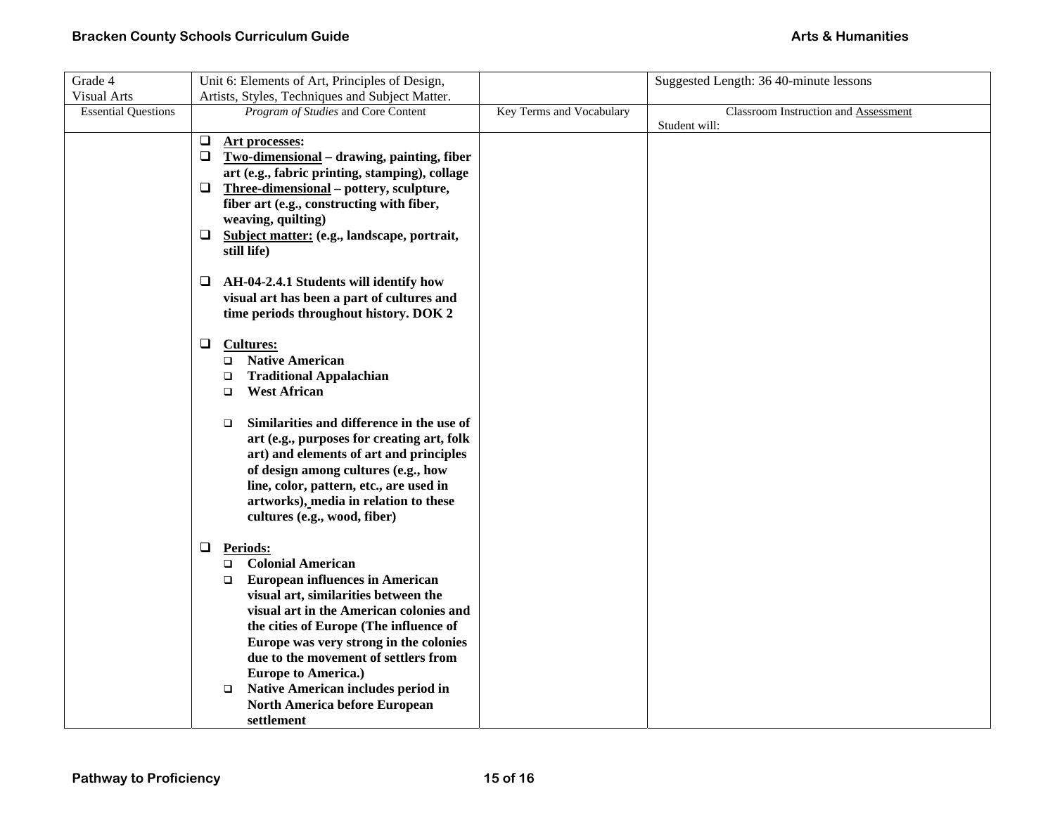| Grade 4                    | Unit 6: Elements of Art, Principles of Design,       |                          | Suggested Length: 36 40-minute lessons |
|----------------------------|------------------------------------------------------|--------------------------|----------------------------------------|
| <b>Visual Arts</b>         | Artists, Styles, Techniques and Subject Matter.      |                          |                                        |
| <b>Essential Questions</b> | Program of Studies and Core Content                  | Key Terms and Vocabulary | Classroom Instruction and Assessment   |
|                            |                                                      |                          | Student will:                          |
|                            | $\Box$<br>Art processes:                             |                          |                                        |
|                            | Two-dimensional - drawing, painting, fiber<br>$\Box$ |                          |                                        |
|                            | art (e.g., fabric printing, stamping), collage       |                          |                                        |
|                            | $\Box$<br>Three-dimensional – pottery, sculpture,    |                          |                                        |
|                            | fiber art (e.g., constructing with fiber,            |                          |                                        |
|                            | weaving, quilting)                                   |                          |                                        |
|                            | □ Subject matter: (e.g., landscape, portrait,        |                          |                                        |
|                            | still life)                                          |                          |                                        |
|                            |                                                      |                          |                                        |
|                            | AH-04-2.4.1 Students will identify how<br>⊔          |                          |                                        |
|                            | visual art has been a part of cultures and           |                          |                                        |
|                            | time periods throughout history. DOK 2               |                          |                                        |
|                            | $\Box$                                               |                          |                                        |
|                            | <b>Cultures:</b><br><b>Native American</b>           |                          |                                        |
|                            | $\Box$<br><b>Traditional Appalachian</b><br>$\Box$   |                          |                                        |
|                            | <b>West African</b><br>$\Box$                        |                          |                                        |
|                            |                                                      |                          |                                        |
|                            | Similarities and difference in the use of<br>$\Box$  |                          |                                        |
|                            | art (e.g., purposes for creating art, folk           |                          |                                        |
|                            | art) and elements of art and principles              |                          |                                        |
|                            | of design among cultures (e.g., how                  |                          |                                        |
|                            | line, color, pattern, etc., are used in              |                          |                                        |
|                            | artworks), media in relation to these                |                          |                                        |
|                            | cultures (e.g., wood, fiber)                         |                          |                                        |
|                            |                                                      |                          |                                        |
|                            | ⊔<br><b>Periods:</b>                                 |                          |                                        |
|                            | <b>Colonial American</b><br>$\Box$                   |                          |                                        |
|                            | <b>European influences in American</b><br>$\Box$     |                          |                                        |
|                            | visual art, similarities between the                 |                          |                                        |
|                            | visual art in the American colonies and              |                          |                                        |
|                            | the cities of Europe (The influence of               |                          |                                        |
|                            | Europe was very strong in the colonies               |                          |                                        |
|                            | due to the movement of settlers from                 |                          |                                        |
|                            | <b>Europe to America.)</b>                           |                          |                                        |
|                            | Native American includes period in<br>$\Box$         |                          |                                        |
|                            | <b>North America before European</b>                 |                          |                                        |
|                            | settlement                                           |                          |                                        |